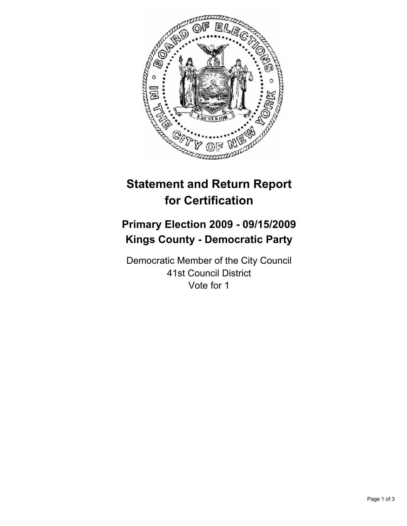

# **Statement and Return Report for Certification**

## **Primary Election 2009 - 09/15/2009 Kings County - Democratic Party**

Democratic Member of the City Council 41st Council District Vote for 1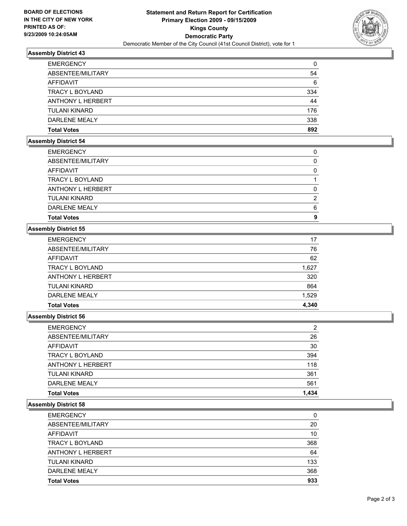

## **Assembly District 43**

| <b>EMERGENCY</b>       | 0   |
|------------------------|-----|
| ABSENTEE/MILITARY      | 54  |
| AFFIDAVIT              | 6   |
| <b>TRACY L BOYLAND</b> | 334 |
| ANTHONY L HERBERT      | 44  |
| <b>TULANI KINARD</b>   | 176 |
| DARI FNF MFAI Y        | 338 |
| <b>Total Votes</b>     | 892 |

## **Assembly District 54**

| <b>Total Votes</b>       | 9 |
|--------------------------|---|
| DARLENE MEALY            | 6 |
| <b>TULANI KINARD</b>     | 2 |
| <b>ANTHONY L HERBERT</b> | 0 |
| TRACY L BOYLAND          |   |
| AFFIDAVIT                | 0 |
| ABSENTEE/MILITARY        | 0 |
| <b>EMERGENCY</b>         | 0 |

### **Assembly District 55**

| <b>Total Votes</b>       | 4.340 |
|--------------------------|-------|
| DARLENE MEALY            | 1,529 |
| <b>TULANI KINARD</b>     | 864   |
| <b>ANTHONY L HERBERT</b> | 320   |
| <b>TRACY L BOYLAND</b>   | 1,627 |
| <b>AFFIDAVIT</b>         | 62    |
| ABSENTEE/MILITARY        | 76    |
| <b>EMERGENCY</b>         | 17    |

#### **Assembly District 56**

| Total Votes          | 1,434          |
|----------------------|----------------|
| <b>DARLENE MEALY</b> | 561            |
| TULANI KINARD        | 361            |
| ANTHONY L HERBERT    | 118            |
| TRACY L BOYLAND      | 394            |
| AFFIDAVIT            | 30             |
| ABSENTEE/MILITARY    | 26             |
| EMERGENCY            | $\overline{2}$ |

#### **Assembly District 58**

| <b>EMERGENCY</b>       | 0   |
|------------------------|-----|
| ABSENTEE/MILITARY      | 20  |
| <b>AFFIDAVIT</b>       | 10  |
| <b>TRACY L BOYLAND</b> | 368 |
| ANTHONY L HERBERT      | 64  |
| <b>TULANI KINARD</b>   | 133 |
| DARLENE MEALY          | 368 |
| <b>Total Votes</b>     | 933 |